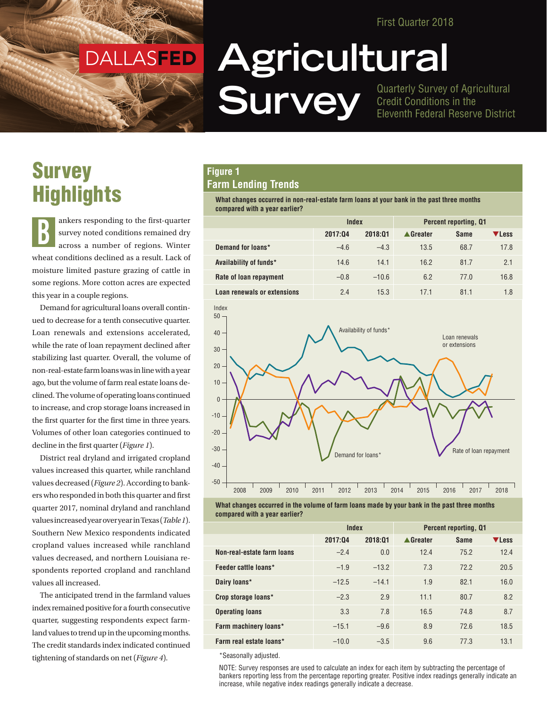First Quarter 2018

### DALLASFED DALLASFED

# **Agricultural Survey** Guarterly Survey of Agricultural<br>
Eleventh Federal Reserve Distric

Credit Conditions in the Eleventh Federal Reserve District

## **Survey Highlights**

ankers responding to the first-quarter survey noted conditions remained dry across a number of regions. Winter wheat conditions declined as a result. Lack of moisture limited pasture grazing of cattle in some regions. More cotton acres are expected this year in a couple regions. B

Demand for agricultural loans overall continued to decrease for a tenth consecutive quarter. Loan renewals and extensions accelerated, while the rate of loan repayment declined after stabilizing last quarter. Overall, the volume of non-real-estate farm loans was in line with a year ago, but the volume of farm real estate loans declined. The volume of operating loans continued to increase, and crop storage loans increased in the first quarter for the first time in three years. Volumes of other loan categories continued to decline in the first quarter (*Figure 1*).

District real dryland and irrigated cropland values increased this quarter, while ranchland values decreased (*Figure 2*). According to bankers who responded in both this quarter and first quarter 2017, nominal dryland and ranchland values increased year over year in Texas (*Table 1*). Southern New Mexico respondents indicated cropland values increased while ranchland values decreased, and northern Louisiana respondents reported cropland and ranchland values all increased.

The anticipated trend in the farmland values index remained positive for a fourth consecutive quarter, suggesting respondents expect farmland values to trend up in the upcoming months. The credit standards index indicated continued tightening of standards on net (*Figure 4*).

#### **Figure 1 Farm Lending Trends**

Index

**What changes occurred in non-real-estate farm loans at your bank in the past three months compared with a year earlier?**

|                             | Index   |         | <b>Percent reporting, Q1</b> |             |       |
|-----------------------------|---------|---------|------------------------------|-------------|-------|
|                             | 2017:04 | 2018:01 | ▲ Greater                    | <b>Same</b> | VLess |
| Demand for loans*           | $-4.6$  | $-4.3$  | 13.5                         | 68.7        | 17.8  |
| Availability of funds*      | 14.6    | 14.1    | 16.2                         | 81.7        | 2.1   |
| Rate of loan repayment      | $-0.8$  | $-10.6$ | 6.2                          | 77.0        | 16.8  |
| Loan renewals or extensions | 2.4     | 15.3    | 17.1                         | 81.1        | 1.8   |



**What changes occurred in the volume of farm loans made by your bank in the past three months compared with a year earlier?**

|                             | Index   |         | <b>Percent reporting, Q1</b> |             |              |
|-----------------------------|---------|---------|------------------------------|-------------|--------------|
|                             | 2017:04 | 2018:01 | ▲ Greater                    | <b>Same</b> | <b>VLess</b> |
| Non-real-estate farm loans  | $-2.4$  | 0.0     | 12.4                         | 75.2        | 12.4         |
| <b>Feeder cattle loans*</b> | $-1.9$  | $-13.2$ | 7.3                          | 72.2        | 20.5         |
| Dairy loans*                | $-12.5$ | $-14.1$ | 1.9                          | 82.1        | 16.0         |
| Crop storage loans*         | $-2.3$  | 2.9     | 11.1                         | 80.7        | 8.2          |
| <b>Operating loans</b>      | 3.3     | 7.8     | 16.5                         | 74.8        | 8.7          |
| Farm machinery loans*       | $-15.1$ | $-9.6$  | 8.9                          | 72.6        | 18.5         |
| Farm real estate loans*     | $-10.0$ | $-3.5$  | 9.6                          | 77.3        | 13.1         |

\*Seasonally adjusted.

NOTE: Survey responses are used to calculate an index for each item by subtracting the percentage of bankers reporting less from the percentage reporting greater. Positive index readings generally indicate an increase, while negative index readings generally indicate a decrease.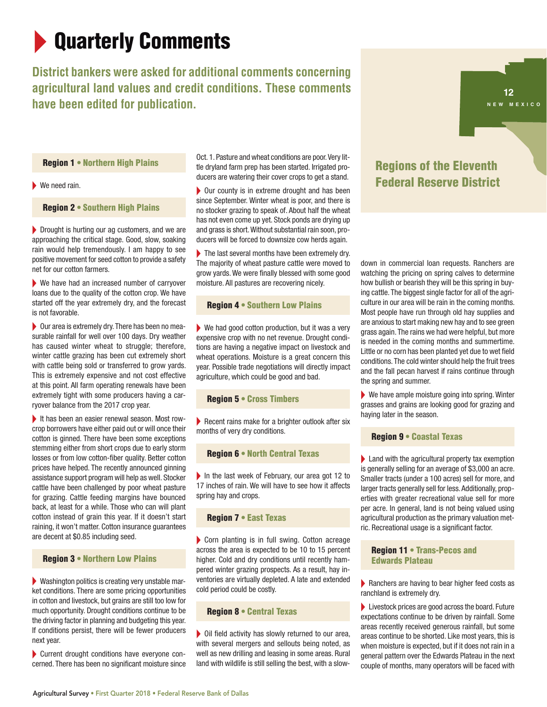# **Quarterly Comments**

**District bankers were asked for additional comments concerning agricultural land values and credit conditions. These comments have been edited for publication.**

**12 <sup>4</sup> <sup>5</sup> L O <sup>U</sup> ISIANA NEW MEXICO**

#### Region 1 • Northern High Plains

 $\blacktriangleright$  We need rain.

#### Region 2 • Southern High Plains

 $\blacktriangleright$  Drought is hurting our ag customers, and we are approaching the critical stage. Good, slow, soaking rain would help tremendously. I am happy to see positive movement for seed cotton to provide a safety net for our cotton farmers.

 $\blacktriangleright$  We have had an increased number of carryover loans due to the quality of the cotton crop. We have started off the year extremely dry, and the forecast is not favorable.

 $\triangleright$  Our area is extremely dry. There has been no measurable rainfall for well over 100 days. Dry weather has caused winter wheat to struggle; therefore, winter cattle grazing has been cut extremely short with cattle being sold or transferred to grow yards. This is extremely expensive and not cost effective at this point. All farm operating renewals have been extremely tight with some producers having a carryover balance from the 2017 crop year.

 $\blacktriangleright$  It has been an easier renewal season. Most rowcrop borrowers have either paid out or will once their cotton is ginned. There have been some exceptions stemming either from short crops due to early storm losses or from low cotton-fiber quality. Better cotton prices have helped. The recently announced ginning assistance support program will help as well. Stocker cattle have been challenged by poor wheat pasture for grazing. Cattle feeding margins have bounced back, at least for a while. Those who can will plant cotton instead of grain this year. If it doesn't start raining, it won't matter. Cotton insurance guarantees are decent at \$0.85 including seed.

#### Region 3 • Northern Low Plains

 $\blacktriangleright$  Washington politics is creating very unstable market conditions. There are some pricing opportunities in cotton and livestock, but grains are still too low for much opportunity. Drought conditions continue to be the driving factor in planning and budgeting this year. If conditions persist, there will be fewer producers next year.

▶ Current drought conditions have everyone concerned. There has been no significant moisture since Oct. 1. Pasture and wheat conditions are poor. Very little dryland farm prep has been started. Irrigated producers are watering their cover crops to get a stand.

 $\triangleright$  Our county is in extreme drought and has been since September. Winter wheat is poor, and there is no stocker grazing to speak of. About half the wheat has not even come up yet. Stock ponds are drying up and grass is short. Without substantial rain soon, producers will be forced to downsize cow herds again.

 $\blacktriangleright$  The last several months have been extremely dry. The majority of wheat pasture cattle were moved to grow yards. We were finally blessed with some good moisture. All pastures are recovering nicely.

#### Region 4 • Southern Low Plains

 $\blacktriangleright$  We had good cotton production, but it was a very expensive crop with no net revenue. Drought conditions are having a negative impact on livestock and wheat operations. Moisture is a great concern this year. Possible trade negotiations will directly impact agriculture, which could be good and bad.

#### Region 5 • Cross Timbers

 $\blacktriangleright$  Recent rains make for a brighter outlook after six months of very dry conditions.

#### Region 6 • North Central Texas

In the last week of February, our area got 12 to 17 inches of rain. We will have to see how it affects spring hay and crops.

#### Region 7 • East Texas

Corn planting is in full swing. Cotton acreage across the area is expected to be 10 to 15 percent higher. Cold and dry conditions until recently hampered winter grazing prospects. As a result, hay inventories are virtually depleted. A late and extended cold period could be costly.

#### Region 8 • Central Texas

 $\triangleright$  Oil field activity has slowly returned to our area, with several mergers and sellouts being noted, as well as new drilling and leasing in some areas. Rural land with wildlife is still selling the best, with a slow-

### Regions of the Eleventh Federal Reserve District

down in commercial loan requests. Ranchers are watching the pricing on spring calves to determine how bullish or bearish they will be this spring in buying cattle. The biggest single factor for all of the agriculture in our area will be rain in the coming months. Most people have run through old hay supplies and are anxious to start making new hay and to see green grass again. The rains we had were helpful, but more is needed in the coming months and summertime. Little or no corn has been planted yet due to wet field conditions. The cold winter should help the fruit trees and the fall pecan harvest if rains continue through the spring and summer.

 $\blacktriangleright$  We have ample moisture going into spring. Winter grasses and grains are looking good for grazing and haying later in the season.

#### Region 9 • Coastal Texas

 $\blacktriangleright$  Land with the agricultural property tax exemption is generally selling for an average of \$3,000 an acre. Smaller tracts (under a 100 acres) sell for more, and larger tracts generally sell for less. Additionally, properties with greater recreational value sell for more per acre. In general, land is not being valued using agricultural production as the primary valuation metric. Recreational usage is a significant factor.

Region 11 • Trans-Pecos and Edwards Plateau

 $\blacktriangleright$  Ranchers are having to bear higher feed costs as ranchland is extremely dry.

 $\blacktriangleright$  Livestock prices are good across the board. Future expectations continue to be driven by rainfall. Some areas recently received generous rainfall, but some areas continue to be shorted. Like most years, this is when moisture is expected, but if it does not rain in a general pattern over the Edwards Plateau in the next couple of months, many operators will be faced with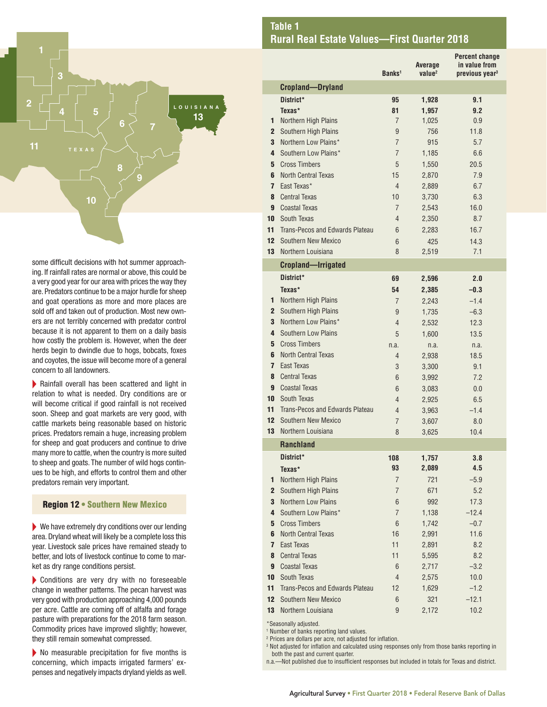



some difficult decisions with hot summer approaching. If rainfall rates are normal or above, this could be a very good year for our area with prices the way they are. Predators continue to be a major hurdle for sheep and goat operations as more and more places are sold off and taken out of production. Most new owners are not terribly concerned with predator control because it is not apparent to them on a daily basis how costly the problem is. However, when the deer herds begin to dwindle due to hogs, bobcats, foxes and coyotes, the issue will become more of a general concern to all landowners.

 $\blacktriangleright$  Rainfall overall has been scattered and light in relation to what is needed. Dry conditions are or will become critical if good rainfall is not received soon. Sheep and goat markets are very good, with cattle markets being reasonable based on historic prices. Predators remain a huge, increasing problem for sheep and goat producers and continue to drive many more to cattle, when the country is more suited to sheep and goats. The number of wild hogs continues to be high, and efforts to control them and other predators remain very important.

#### Region 12 • Southern New Mexico

 $\blacktriangleright$  We have extremely dry conditions over our lending area. Dryland wheat will likely be a complete loss this year. Livestock sale prices have remained steady to better, and lots of livestock continue to come to market as dry range conditions persist.

 $\blacktriangleright$  Conditions are very dry with no foreseeable change in weather patterns. The pecan harvest was very good with production approaching 4,000 pounds per acre. Cattle are coming off of alfalfa and forage pasture with preparations for the 2018 farm season. Commodity prices have improved slightly; however, they still remain somewhat compressed.

 $\blacktriangleright$  No measurable precipitation for five months is concerning, which impacts irrigated farmers' expenses and negatively impacts dryland yields as well.

|                |                                        | Banks <sup>1</sup> | Average<br>value <sup>2</sup> | <b>Percent change</b><br>in value from<br>previous year <sup>3</sup> |
|----------------|----------------------------------------|--------------------|-------------------------------|----------------------------------------------------------------------|
|                | <b>Cropland-Dryland</b>                |                    |                               |                                                                      |
|                | District*                              | 95                 | 1,928                         | 9.1                                                                  |
|                | Texas*                                 | 81                 | 1,957                         | 9.2                                                                  |
| 1              | Northern High Plains                   | $\overline{7}$     | 1,025                         | 0.9                                                                  |
| $\mathbf{2}$   | Southern High Plains                   | 9                  | 756                           | 11.8                                                                 |
| 3              | Northern Low Plains*                   | $\overline{7}$     | 915                           | 5.7                                                                  |
| 4              | Southern I ow Plains*                  | $\overline{7}$     | 1,185                         | 6.6                                                                  |
| 5              | <b>Cross Timbers</b>                   | 5                  | 1,550                         | 20.5                                                                 |
| 6              | <b>North Central Texas</b>             | 15                 | 2,870                         | 7.9                                                                  |
| $\overline{7}$ | East Texas*                            | $\overline{4}$     | 2,889                         | 6.7                                                                  |
| 8              | <b>Central Texas</b>                   | 10                 | 3,730                         | 6.3                                                                  |
| 9              | <b>Coastal Texas</b>                   | $\overline{7}$     | 2,543                         | 16.0                                                                 |
| 10             | South Texas                            | 4                  | 2,350                         | 8.7                                                                  |
| 11             | <b>Trans-Pecos and Edwards Plateau</b> | 6                  | 2,283                         | 16.7                                                                 |
| 12             | Southern New Mexico                    | 6                  | 425                           | 14.3                                                                 |
| 13             | Northern Louisiana                     | 8                  | 2,519                         | 7.1                                                                  |
|                | <b>Cropland-Irrigated</b>              |                    |                               |                                                                      |
|                | District*                              | 69                 | 2,596                         | 2.0                                                                  |
|                | Texas*                                 | 54                 | 2,385                         | $-0.3$                                                               |
| 1              | Northern High Plains                   | 7                  | 2,243                         | $-1.4$                                                               |
| $\overline{2}$ | Southern High Plains                   | 9                  | 1,735                         | $-6.3$                                                               |
| 3              | Northern Low Plains*                   | 4                  | 2,532                         | 12.3                                                                 |
| 4              | Southern Low Plains                    | 5                  | 1,600                         | 13.5                                                                 |
| 5              | <b>Cross Timbers</b>                   | n.a.               | n.a.                          | n.a.                                                                 |
| 6              | <b>North Central Texas</b>             | 4                  | 2,938                         | 18.5                                                                 |
| $\overline{ }$ | <b>East Texas</b>                      | 3                  | 3,300                         | 9.1                                                                  |
| 8              | <b>Central Texas</b>                   | 6                  | 3,992                         | 7.2                                                                  |
| 9              | <b>Coastal Texas</b>                   | 6                  | 3,083                         | 0.0                                                                  |
| 10             | South Texas                            | 4                  | 2,925                         | 6.5                                                                  |
| 11             | <b>Trans-Pecos and Edwards Plateau</b> | $\overline{4}$     | 3,963                         | $-1.4$                                                               |
| 12             | Southern New Mexico                    | $\overline{7}$     | 3,607                         | 8.0                                                                  |
| 13             | Northern Louisiana                     | 8                  | 3,625                         | 10.4                                                                 |
|                | <b>Ranchland</b>                       |                    |                               |                                                                      |
|                | District*                              | 108                | 1,757                         | 3.8                                                                  |
|                | Texas*                                 | 93                 | 2,089                         | 4.5                                                                  |
| 1              | Northern High Plains                   | $\overline{7}$     | 721                           | $-5.9$                                                               |
| $\mathbf{2}$   | Southern High Plains                   | $\overline{7}$     | 671                           | 5.2                                                                  |
| 3              | Northern Low Plains                    | $6\phantom{1}$     | 992                           | 17.3                                                                 |
| 4              | Southern Low Plains*                   | $\overline{7}$     | 1,138                         | $-12.4$                                                              |
| $5\phantom{1}$ | <b>Cross Timbers</b>                   | $6\phantom{1}$     | 1,742                         | $-0.7$                                                               |
| 6              | <b>North Central Texas</b>             | 16                 | 2,991                         | 11.6                                                                 |
| 7              | East Texas                             | 11                 | 2,891                         | 8.2                                                                  |
| 8              | <b>Central Texas</b>                   | 11                 | 5,595                         | 8.2                                                                  |
| 9              | <b>Coastal Texas</b>                   | $6\phantom{1}$     | 2,717                         | $-3.2$                                                               |
| 10             | South Texas                            | $\overline{4}$     | 2,575                         | 10.0                                                                 |
| 11             | <b>Trans-Pecos and Edwards Plateau</b> | 12                 | 1,629                         | $-1.2$                                                               |
| 12             | Southern New Mexico                    | 6                  | 321                           | $-12.1$                                                              |
| 13             | Northern Louisiana                     | 9                  | 2,172                         | 10.2                                                                 |
|                |                                        |                    |                               |                                                                      |

Seasonally adjusted.

<sup>1</sup> Number of banks reporting land values.

2 Prices are dollars per acre, not adjusted for inflation.

3 Not adjusted for inflation and calculated using responses only from those banks reporting in both the past and current quarter.

n.a.—Not published due to insufficient responses but included in totals for Texas and district.